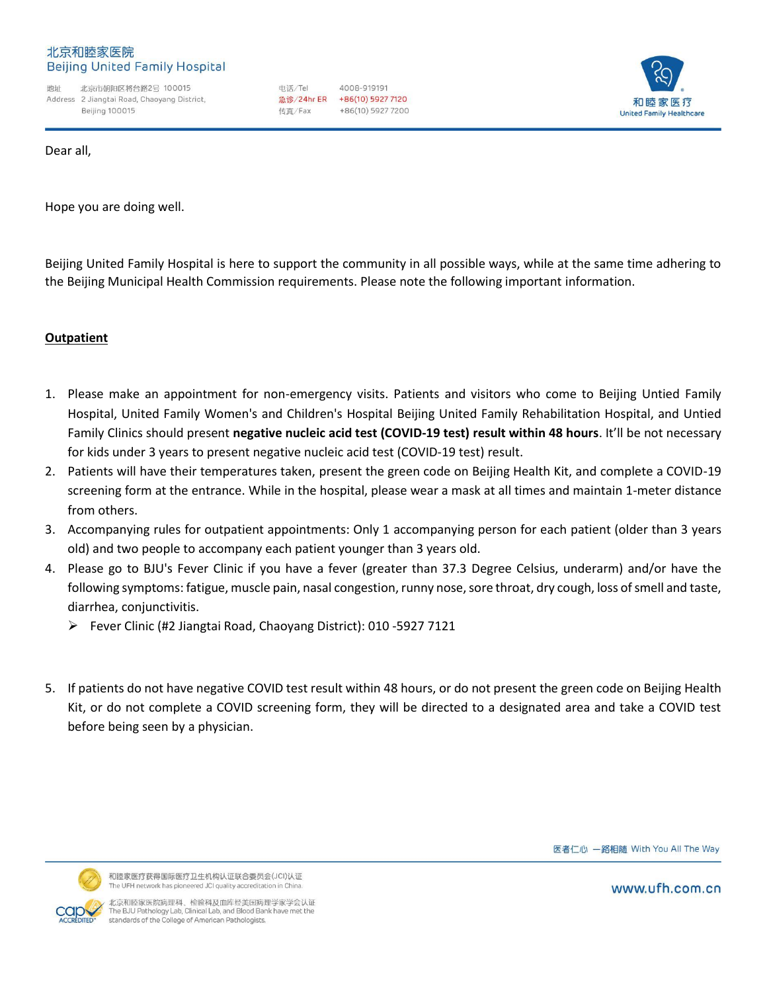#### 北京和睦家医院 **Beijing United Family Hospital**

地址 北京市朝阳区将台路2号 100015 Address 2 Jiangtai Road, Chaoyang District, Beiling 100015

电话/Tel 4008-919191 **急诊/24hr ER** +86(10) 5927 7120 传直/Fax +86(10) 5927 7200



Dear all,

Hope you are doing well.

Beijing United Family Hospital is here to support the community in all possible ways, while at the same time adhering to the Beijing Municipal Health Commission requirements. Please note the following important information.

# **Outpatient**

- 1. Please make an appointment for non-emergency visits. Patients and visitors who come to Beijing Untied Family Hospital, United Family Women's and Children's Hospital Beijing United Family Rehabilitation Hospital, and Untied Family Clinics should present **negative nucleic acid test (COVID-19 test) result within 48 hours**. It'll be not necessary for kids under 3 years to present negative nucleic acid test (COVID-19 test) result.
- 2. Patients will have their temperatures taken, present the green code on Beijing Health Kit, and complete a COVID-19 screening form at the entrance. While in the hospital, please wear a mask at all times and maintain 1-meter distance from others.
- 3. Accompanying rules for outpatient appointments: Only 1 accompanying person for each patient (older than 3 years old) and two people to accompany each patient younger than 3 years old.
- 4. Please go to BJU's Fever Clinic if you have a fever (greater than 37.3 Degree Celsius, underarm) and/or have the following symptoms: fatigue, muscle pain, nasal congestion, runny nose, sore throat, dry cough, loss of smell and taste, diarrhea, conjunctivitis.
	- Fever Clinic (#2 Jiangtai Road, Chaoyang District): 010 -5927 7121
- 5. If patients do not have negative COVID test result within 48 hours, or do not present the green code on Beijing Health Kit, or do not complete a COVID screening form, they will be directed to a designated area and take a COVID test before being seen by a physician.





北京和睦家医院病理科、检验科及血库经美国病理学家学会认证<br>The BJU Pathology Lab, Clinical Lab, and Blood Bank have met the standards of the College of American Pathologists.

www.ufh.com.cn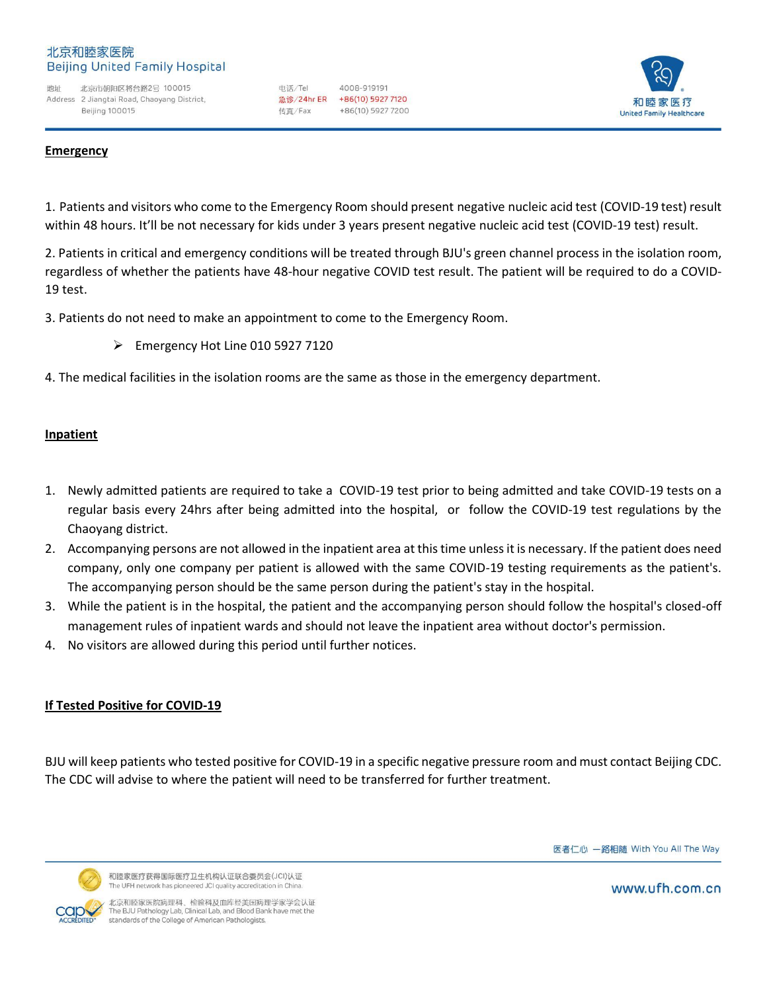#### 北京和睦家医院 **Beijing United Family Hospital**

地址 北京市朝阳区将台路2号 100015 Address 2 Jiangtai Road, Chaoyang District, Beiling 100015

电话/Tel 4008-919191 急诊/24hr ER +86(10) 5927 7120 传直/Fax +86(10) 5927 7200



### **Emergency**

1. Patients and visitors who come to the Emergency Room should present negative nucleic acid test (COVID-19 test) result within 48 hours. It'll be not necessary for kids under 3 years present negative nucleic acid test (COVID-19 test) result.

2. Patients in critical and emergency conditions will be treated through BJU's green channel process in the isolation room, regardless of whether the patients have 48-hour negative COVID test result. The patient will be required to do a COVID-19 test.

3. Patients do not need to make an appointment to come to the Emergency Room.

 $\triangleright$  Emergency Hot Line 010 5927 7120

4. The medical facilities in the isolation rooms are the same as those in the emergency department.

# **Inpatient**

- 1. Newly admitted patients are required to take a COVID-19 test prior to being admitted and take COVID-19 tests on a regular basis every 24hrs after being admitted into the hospital, or follow the COVID-19 test regulations by the Chaoyang district.
- 2. Accompanying persons are not allowed in the inpatient area at this time unless it is necessary. If the patient does need company, only one company per patient is allowed with the same COVID-19 testing requirements as the patient's. The accompanying person should be the same person during the patient's stay in the hospital.
- 3. While the patient is in the hospital, the patient and the accompanying person should follow the hospital's closed-off management rules of inpatient wards and should not leave the inpatient area without doctor's permission.
- 4. No visitors are allowed during this period until further notices.

# **If Tested Positive for COVID-19**

BJU will keep patients who tested positive for COVID-19 in a specific negative pressure room and must contact Beijing CDC. The CDC will advise to where the patient will need to be transferred for further treatment.

医者仁心 一路相随 With You All The Way



和睦家医疗获得国际医疗卫生机构认证联合委员会(JCI)认证 The UFH network has pioneered JCI quality accreditation in Chin

北京和睦家医院病理科、检验科及血库经美国病理学家学会认证<br>The BJU Pathology Lab, Clinical Lab, and Blood Bank have met the standards of the College of American Pathologists.

www.ufh.com.cn